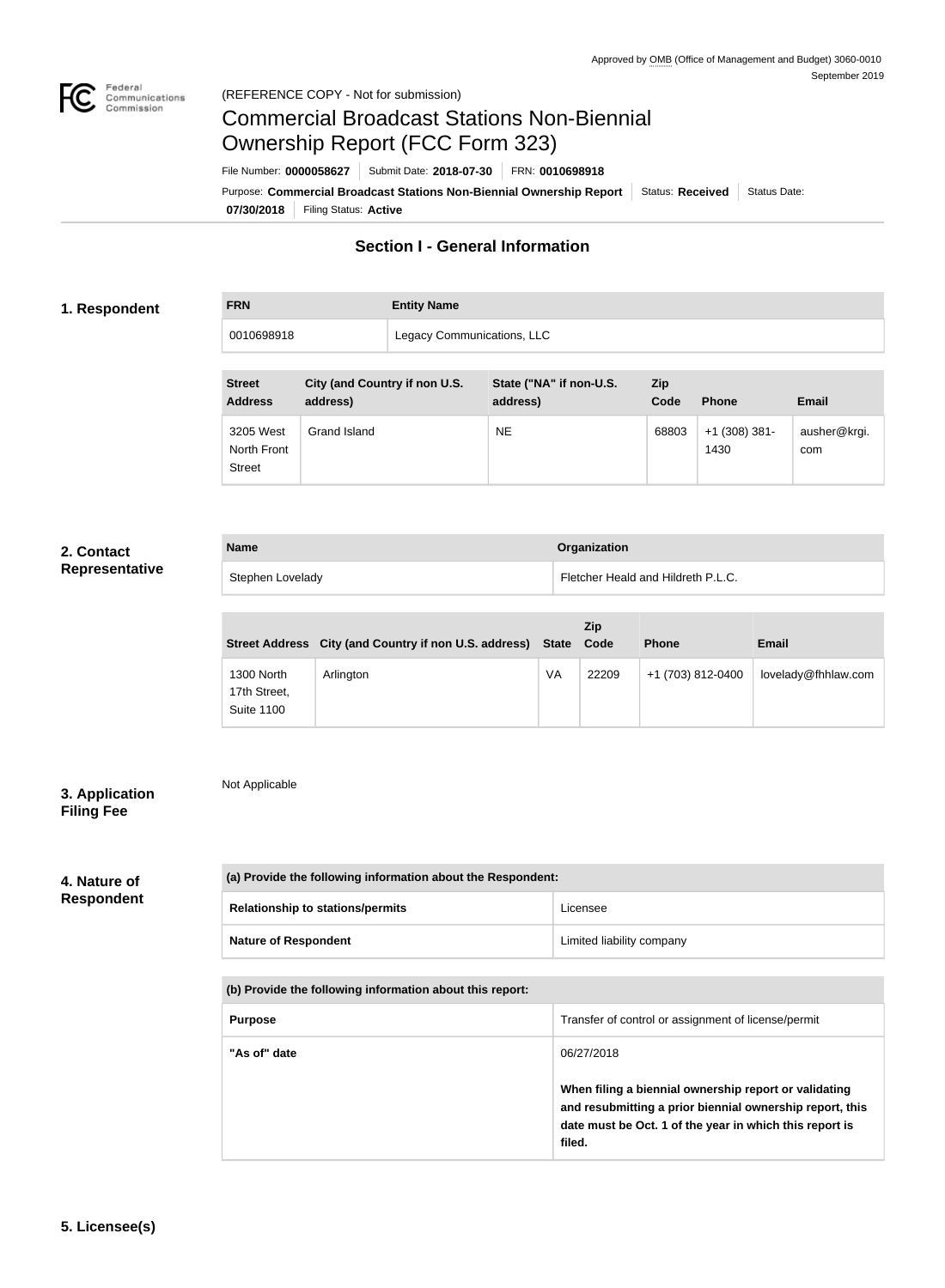

## Commercial Broadcast Stations Non-Biennial Ownership Report (FCC Form 323)

**07/30/2018** Filing Status: **Active** Purpose: Commercial Broadcast Stations Non-Biennial Ownership Report Status: Received Status Date: File Number: **0000058627** Submit Date: **2018-07-30** FRN: **0010698918**

## **Section I - General Information**

#### **1. Respondent**

**FRN Entity Name** 0010698918 | Legacy Communications, LLC

| <b>Street</b><br><b>Address</b>           | City (and Country if non U.S.<br>address) | State ("NA" if non-U.S.<br>address) | Zip<br>Code | <b>Phone</b>            | <b>Email</b>        |
|-------------------------------------------|-------------------------------------------|-------------------------------------|-------------|-------------------------|---------------------|
| 3205 West<br>North Front<br><b>Street</b> | Grand Island                              | <b>NE</b>                           | 68803       | $+1$ (308) 381-<br>1430 | ausher@krgi.<br>com |

#### **2. Contact Representative**

| <b>Name</b>      | Organization                       |
|------------------|------------------------------------|
| Stephen Lovelady | Fletcher Heald and Hildreth P.L.C. |

|                                                 | Street Address City (and Country if non U.S. address) State |    | Zip<br>Code | <b>Phone</b>      | <b>Email</b>        |
|-------------------------------------------------|-------------------------------------------------------------|----|-------------|-------------------|---------------------|
| 1300 North<br>17th Street,<br><b>Suite 1100</b> | Arlington                                                   | VA | 22209       | +1 (703) 812-0400 | lovelady@fhhlaw.com |

#### **3. Application Filing Fee**

Not Applicable

# **4. Nature of**

## **Respondent**

| (a) Provide the following information about the Respondent: |                           |
|-------------------------------------------------------------|---------------------------|
| <b>Relationship to stations/permits</b>                     | Licensee                  |
| <b>Nature of Respondent</b>                                 | Limited liability company |

#### **(b) Provide the following information about this report:**

| <b>Purpose</b> | Transfer of control or assignment of license/permit                                                                                                                                                  |
|----------------|------------------------------------------------------------------------------------------------------------------------------------------------------------------------------------------------------|
| "As of" date   | 06/27/2018<br>When filing a biennial ownership report or validating<br>and resubmitting a prior biennial ownership report, this<br>date must be Oct. 1 of the year in which this report is<br>filed. |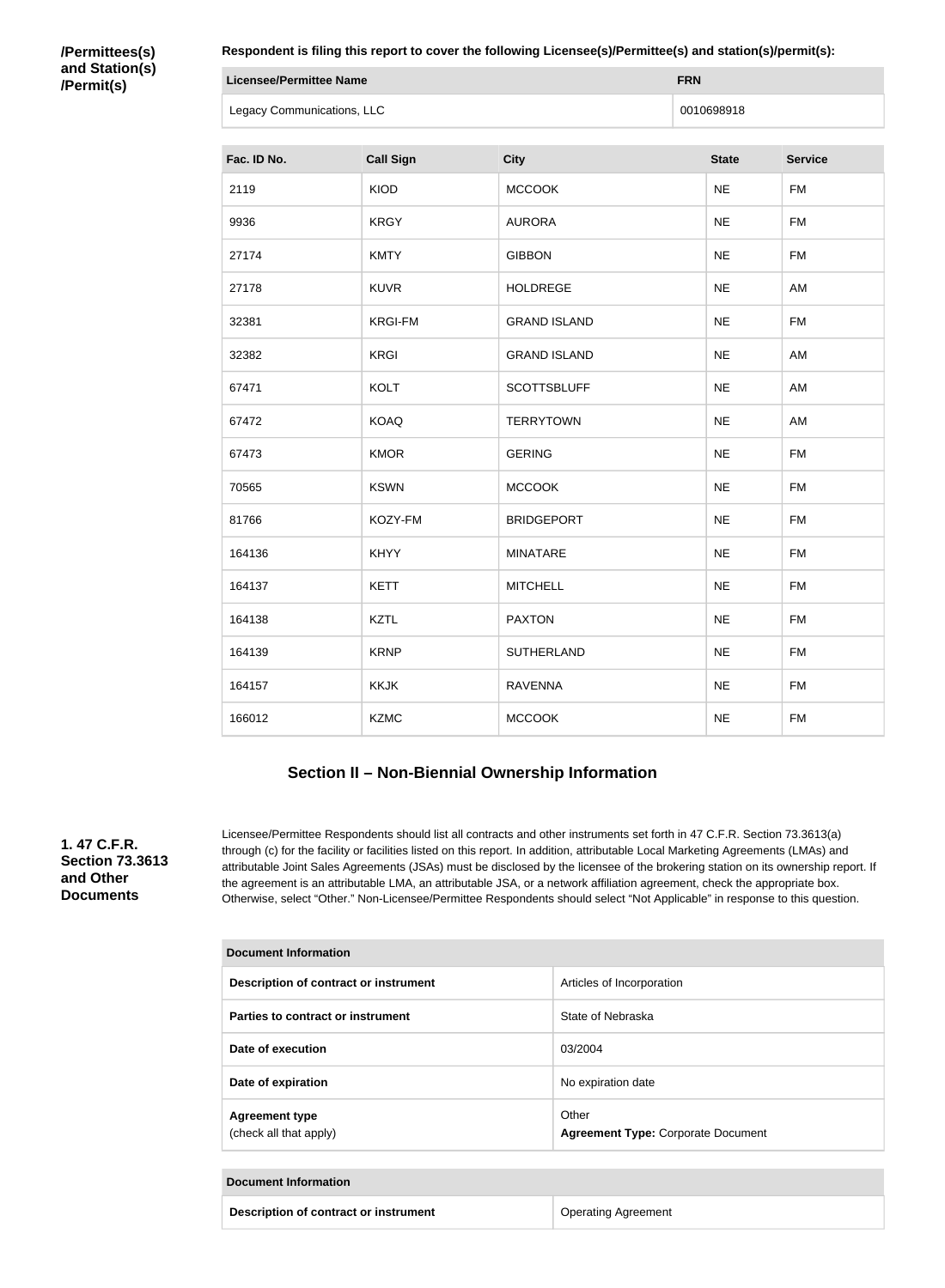#### **/Permittees(s) and Station(s) /Permit(s)**

**Respondent is filing this report to cover the following Licensee(s)/Permittee(s) and station(s)/permit(s):**

| Licensee/Permittee Name    | <b>FRN</b> |
|----------------------------|------------|
| Legacy Communications, LLC | 0010698918 |

| Fac. ID No. | <b>Call Sign</b> | <b>City</b>         | <b>State</b> | <b>Service</b> |
|-------------|------------------|---------------------|--------------|----------------|
| 2119        | KIOD             | <b>MCCOOK</b>       | <b>NE</b>    | <b>FM</b>      |
| 9936        | <b>KRGY</b>      | <b>AURORA</b>       | <b>NE</b>    | <b>FM</b>      |
| 27174       | <b>KMTY</b>      | <b>GIBBON</b>       | <b>NE</b>    | <b>FM</b>      |
| 27178       | <b>KUVR</b>      | <b>HOLDREGE</b>     | <b>NE</b>    | AM             |
| 32381       | <b>KRGI-FM</b>   | <b>GRAND ISLAND</b> | <b>NE</b>    | <b>FM</b>      |
| 32382       | <b>KRGI</b>      | <b>GRAND ISLAND</b> | <b>NE</b>    | AM             |
| 67471       | <b>KOLT</b>      | <b>SCOTTSBLUFF</b>  | <b>NE</b>    | AM             |
| 67472       | <b>KOAQ</b>      | <b>TERRYTOWN</b>    | <b>NE</b>    | AM             |
| 67473       | <b>KMOR</b>      | <b>GERING</b>       | <b>NE</b>    | <b>FM</b>      |
| 70565       | <b>KSWN</b>      | <b>MCCOOK</b>       | <b>NE</b>    | <b>FM</b>      |
| 81766       | KOZY-FM          | <b>BRIDGEPORT</b>   | <b>NE</b>    | <b>FM</b>      |
| 164136      | <b>KHYY</b>      | <b>MINATARE</b>     | <b>NE</b>    | <b>FM</b>      |
| 164137      | <b>KETT</b>      | <b>MITCHELL</b>     | <b>NE</b>    | <b>FM</b>      |
| 164138      | <b>KZTL</b>      | <b>PAXTON</b>       | <b>NE</b>    | <b>FM</b>      |
| 164139      | <b>KRNP</b>      | SUTHERLAND          | <b>NE</b>    | <b>FM</b>      |
| 164157      | <b>KKJK</b>      | <b>RAVENNA</b>      | <b>NE</b>    | <b>FM</b>      |
| 166012      | <b>KZMC</b>      | <b>MCCOOK</b>       | <b>NE</b>    | <b>FM</b>      |

### **Section II – Non-Biennial Ownership Information**

**1. 47 C.F.R. Section 73.3613 and Other Documents**

Licensee/Permittee Respondents should list all contracts and other instruments set forth in 47 C.F.R. Section 73.3613(a) through (c) for the facility or facilities listed on this report. In addition, attributable Local Marketing Agreements (LMAs) and attributable Joint Sales Agreements (JSAs) must be disclosed by the licensee of the brokering station on its ownership report. If the agreement is an attributable LMA, an attributable JSA, or a network affiliation agreement, check the appropriate box. Otherwise, select "Other." Non-Licensee/Permittee Respondents should select "Not Applicable" in response to this question.

| <b>Document Information</b>                     |                                                    |  |
|-------------------------------------------------|----------------------------------------------------|--|
| Description of contract or instrument           | Articles of Incorporation                          |  |
| Parties to contract or instrument               | State of Nebraska                                  |  |
| Date of execution                               | 03/2004                                            |  |
| Date of expiration                              | No expiration date                                 |  |
| <b>Agreement type</b><br>(check all that apply) | Other<br><b>Agreement Type: Corporate Document</b> |  |

| Document Information                  |                            |
|---------------------------------------|----------------------------|
| Description of contract or instrument | <b>Operating Agreement</b> |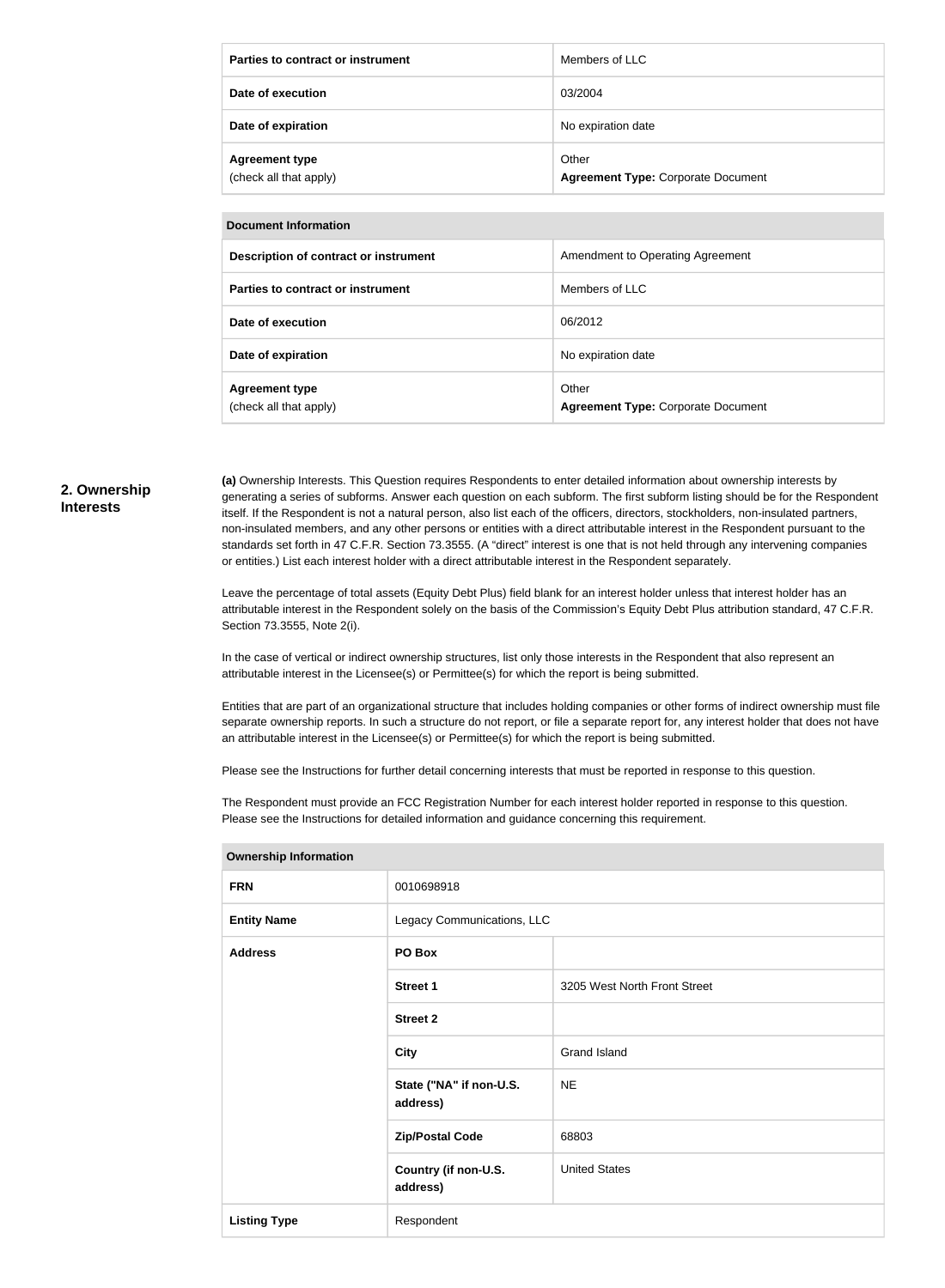| Parties to contract or instrument               | Members of LLC                                     |
|-------------------------------------------------|----------------------------------------------------|
| Date of execution                               | 03/2004                                            |
| Date of expiration                              | No expiration date                                 |
| <b>Agreement type</b><br>(check all that apply) | Other<br><b>Agreement Type: Corporate Document</b> |

| <b>Document Information</b> |
|-----------------------------|
|                             |

| <b>DUCUMENT MILLOI MANUTI</b>                   |                                                    |
|-------------------------------------------------|----------------------------------------------------|
| Description of contract or instrument           | Amendment to Operating Agreement                   |
| Parties to contract or instrument               | Members of LLC                                     |
| Date of execution                               | 06/2012                                            |
| Date of expiration                              | No expiration date                                 |
| <b>Agreement type</b><br>(check all that apply) | Other<br><b>Agreement Type: Corporate Document</b> |

#### **2. Ownership Interests**

**(a)** Ownership Interests. This Question requires Respondents to enter detailed information about ownership interests by generating a series of subforms. Answer each question on each subform. The first subform listing should be for the Respondent itself. If the Respondent is not a natural person, also list each of the officers, directors, stockholders, non-insulated partners, non-insulated members, and any other persons or entities with a direct attributable interest in the Respondent pursuant to the standards set forth in 47 C.F.R. Section 73.3555. (A "direct" interest is one that is not held through any intervening companies or entities.) List each interest holder with a direct attributable interest in the Respondent separately.

Leave the percentage of total assets (Equity Debt Plus) field blank for an interest holder unless that interest holder has an attributable interest in the Respondent solely on the basis of the Commission's Equity Debt Plus attribution standard, 47 C.F.R. Section 73.3555, Note 2(i).

In the case of vertical or indirect ownership structures, list only those interests in the Respondent that also represent an attributable interest in the Licensee(s) or Permittee(s) for which the report is being submitted.

Entities that are part of an organizational structure that includes holding companies or other forms of indirect ownership must file separate ownership reports. In such a structure do not report, or file a separate report for, any interest holder that does not have an attributable interest in the Licensee(s) or Permittee(s) for which the report is being submitted.

Please see the Instructions for further detail concerning interests that must be reported in response to this question.

The Respondent must provide an FCC Registration Number for each interest holder reported in response to this question. Please see the Instructions for detailed information and guidance concerning this requirement.

| <b>FRN</b>          | 0010698918                          |                              |
|---------------------|-------------------------------------|------------------------------|
| <b>Entity Name</b>  | Legacy Communications, LLC          |                              |
| <b>Address</b>      | PO Box                              |                              |
|                     | <b>Street 1</b>                     | 3205 West North Front Street |
|                     | <b>Street 2</b>                     |                              |
|                     | <b>City</b>                         | Grand Island                 |
|                     | State ("NA" if non-U.S.<br>address) | <b>NE</b>                    |
|                     | <b>Zip/Postal Code</b>              | 68803                        |
|                     | Country (if non-U.S.<br>address)    | <b>United States</b>         |
| <b>Listing Type</b> | Respondent                          |                              |

**Ownership Information**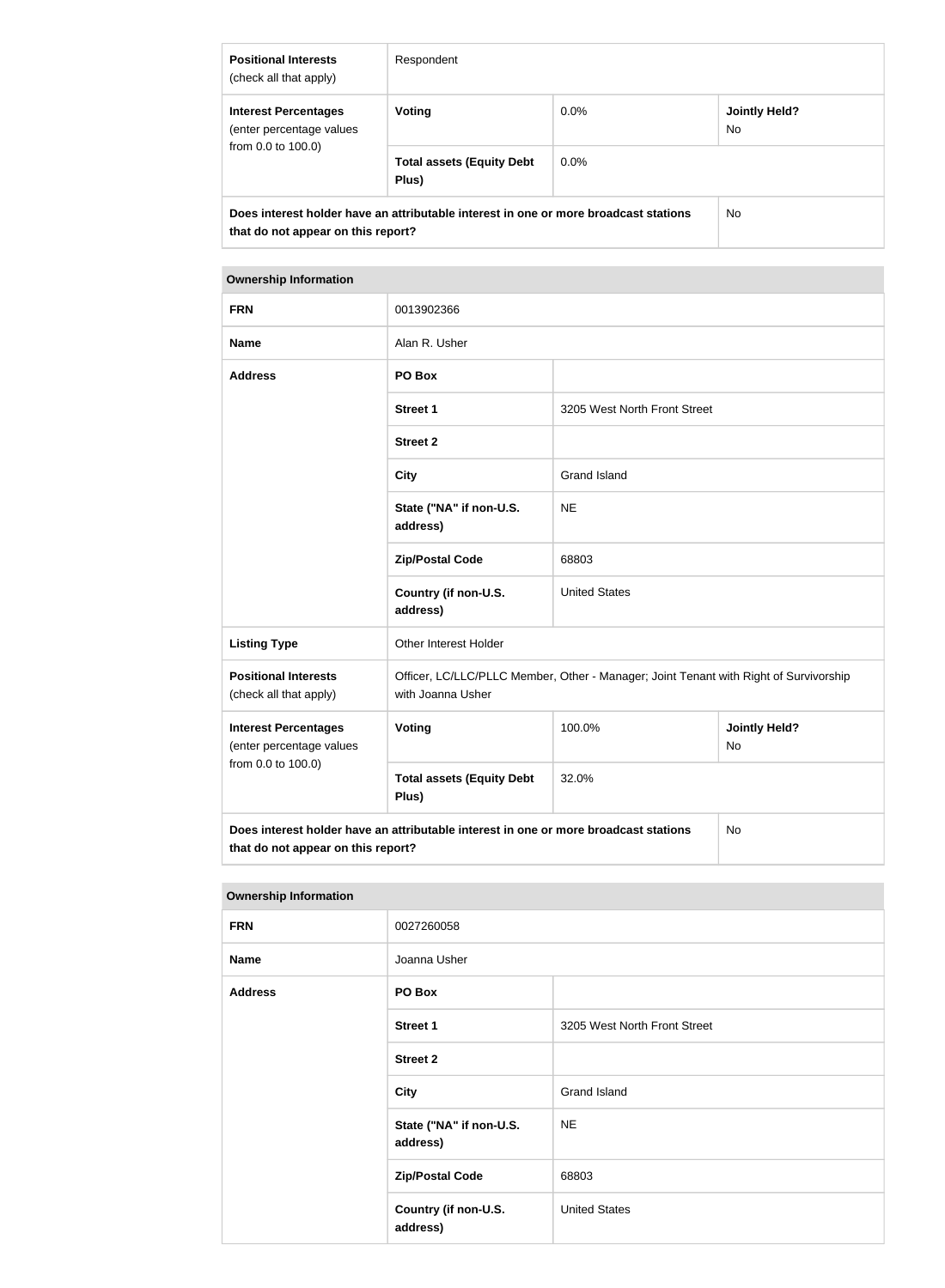| <b>Positional Interests</b><br>(check all that apply)                                                                      | Respondent                                |         |                      |
|----------------------------------------------------------------------------------------------------------------------------|-------------------------------------------|---------|----------------------|
| <b>Interest Percentages</b><br>(enter percentage values<br>from 0.0 to 100.0)                                              | <b>Voting</b>                             | $0.0\%$ | Jointly Held?<br>No. |
|                                                                                                                            | <b>Total assets (Equity Debt</b><br>Plus) | $0.0\%$ |                      |
| Does interest holder have an attributable interest in one or more broadcast stations<br>that do not appear on this report? |                                           | No.     |                      |

## **Ownership Information**

| <b>FRN</b>                                                                                                                       | 0013902366                                                                                                 |                              |                            |
|----------------------------------------------------------------------------------------------------------------------------------|------------------------------------------------------------------------------------------------------------|------------------------------|----------------------------|
| <b>Name</b>                                                                                                                      | Alan R. Usher                                                                                              |                              |                            |
| <b>Address</b>                                                                                                                   | PO Box                                                                                                     |                              |                            |
|                                                                                                                                  | <b>Street 1</b>                                                                                            | 3205 West North Front Street |                            |
|                                                                                                                                  | <b>Street 2</b>                                                                                            |                              |                            |
|                                                                                                                                  | <b>City</b>                                                                                                | <b>Grand Island</b>          |                            |
|                                                                                                                                  | State ("NA" if non-U.S.<br>address)                                                                        | <b>NE</b>                    |                            |
|                                                                                                                                  | <b>Zip/Postal Code</b>                                                                                     | 68803                        |                            |
|                                                                                                                                  | Country (if non-U.S.<br>address)                                                                           | <b>United States</b>         |                            |
| <b>Listing Type</b>                                                                                                              | <b>Other Interest Holder</b>                                                                               |                              |                            |
| <b>Positional Interests</b><br>(check all that apply)                                                                            | Officer, LC/LLC/PLLC Member, Other - Manager; Joint Tenant with Right of Survivorship<br>with Joanna Usher |                              |                            |
| <b>Interest Percentages</b><br>(enter percentage values<br>from 0.0 to 100.0)                                                    | Voting                                                                                                     | 100.0%                       | <b>Jointly Held?</b><br>No |
|                                                                                                                                  | <b>Total assets (Equity Debt</b><br>Plus)                                                                  | 32.0%                        |                            |
| Does interest holder have an attributable interest in one or more broadcast stations<br>No<br>that do not appear on this report? |                                                                                                            |                              |                            |

#### **Ownership Information**

| <b>FRN</b>     | 0027260058                          |                              |
|----------------|-------------------------------------|------------------------------|
| <b>Name</b>    | Joanna Usher                        |                              |
| <b>Address</b> | PO Box                              |                              |
|                | <b>Street 1</b>                     | 3205 West North Front Street |
|                | <b>Street 2</b>                     |                              |
|                | <b>City</b>                         | <b>Grand Island</b>          |
|                | State ("NA" if non-U.S.<br>address) | <b>NE</b>                    |
|                | <b>Zip/Postal Code</b>              | 68803                        |
|                | Country (if non-U.S.<br>address)    | <b>United States</b>         |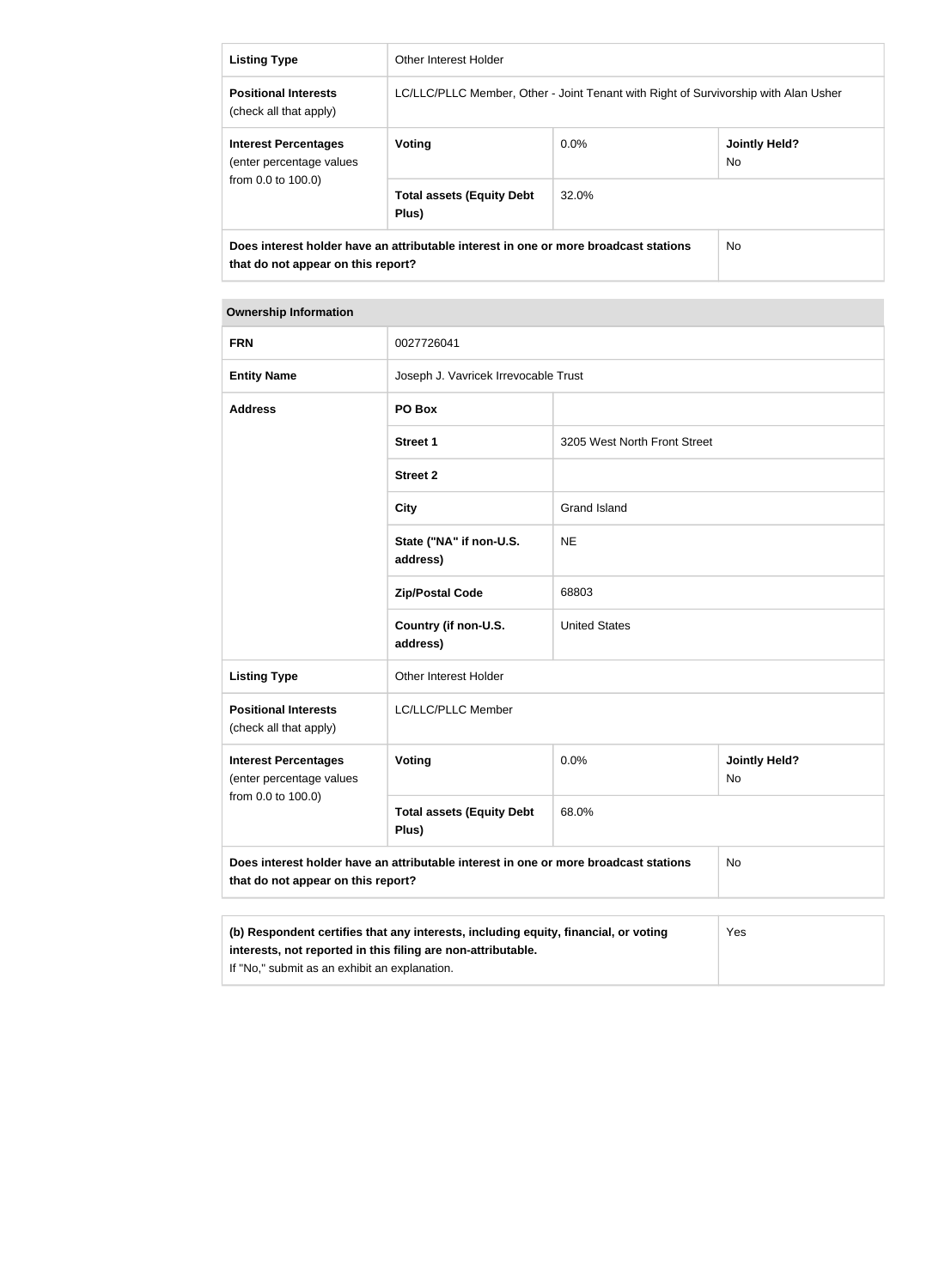| <b>Listing Type</b>                                                                                                        | Other Interest Holder                                                               |         |                             |
|----------------------------------------------------------------------------------------------------------------------------|-------------------------------------------------------------------------------------|---------|-----------------------------|
| <b>Positional Interests</b><br>(check all that apply)                                                                      | LC/LLC/PLLC Member, Other - Joint Tenant with Right of Survivorship with Alan Usher |         |                             |
| <b>Interest Percentages</b><br>(enter percentage values<br>from 0.0 to 100.0)                                              | Voting                                                                              | $0.0\%$ | <b>Jointly Held?</b><br>No. |
|                                                                                                                            | <b>Total assets (Equity Debt</b><br>Plus)                                           | 32.0%   |                             |
| Does interest holder have an attributable interest in one or more broadcast stations<br>that do not appear on this report? |                                                                                     | No.     |                             |

#### **Ownership Information**

| <b>FRN</b>                                                                                                                                                 | 0027726041                                |                              |                                   |
|------------------------------------------------------------------------------------------------------------------------------------------------------------|-------------------------------------------|------------------------------|-----------------------------------|
| <b>Entity Name</b>                                                                                                                                         | Joseph J. Vavricek Irrevocable Trust      |                              |                                   |
| <b>Address</b>                                                                                                                                             | PO Box                                    |                              |                                   |
|                                                                                                                                                            | <b>Street 1</b>                           | 3205 West North Front Street |                                   |
|                                                                                                                                                            | <b>Street 2</b>                           |                              |                                   |
|                                                                                                                                                            | <b>City</b>                               | <b>Grand Island</b>          |                                   |
|                                                                                                                                                            | State ("NA" if non-U.S.<br>address)       | <b>NE</b>                    |                                   |
|                                                                                                                                                            | <b>Zip/Postal Code</b>                    | 68803                        |                                   |
|                                                                                                                                                            | Country (if non-U.S.<br>address)          | <b>United States</b>         |                                   |
| <b>Listing Type</b>                                                                                                                                        | Other Interest Holder                     |                              |                                   |
| <b>Positional Interests</b><br>(check all that apply)                                                                                                      | LC/LLC/PLLC Member                        |                              |                                   |
| <b>Interest Percentages</b><br>(enter percentage values                                                                                                    | Voting                                    | 0.0%                         | <b>Jointly Held?</b><br><b>No</b> |
| from 0.0 to 100.0)                                                                                                                                         | <b>Total assets (Equity Debt</b><br>Plus) | 68.0%                        |                                   |
| Does interest holder have an attributable interest in one or more broadcast stations<br>No<br>that do not appear on this report?                           |                                           |                              |                                   |
|                                                                                                                                                            |                                           |                              |                                   |
| (b) Respondent certifies that any interests, including equity, financial, or voting<br>Yes<br>interests, not reported in this filing are non-attributable. |                                           |                              |                                   |

If "No," submit as an exhibit an explanation.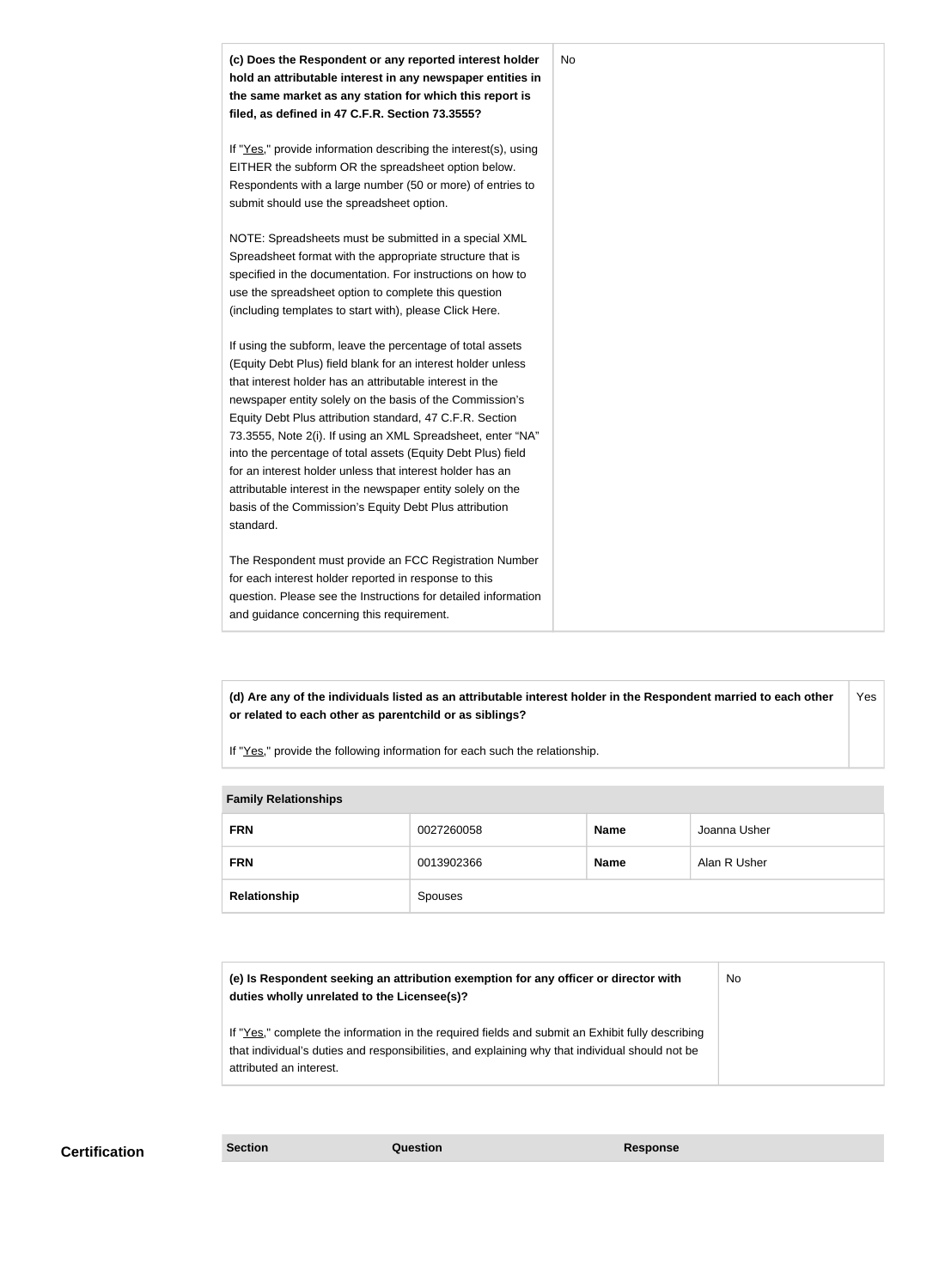

**(d) Are any of the individuals listed as an attributable interest holder in the Respondent married to each other or related to each other as parentchild or as siblings?** Yes

If "Yes," provide the following information for each such the relationship.

#### **Family Relationships**

| <b>FRN</b>   | 0027260058 | <b>Name</b> | Joanna Usher |
|--------------|------------|-------------|--------------|
| <b>FRN</b>   | 0013902366 | <b>Name</b> | Alan R Usher |
| Relationship | Spouses    |             |              |

| (e) Is Respondent seeking an attribution exemption for any officer or director with<br>duties wholly unrelated to the Licensee(s)?                                                                                             | No |
|--------------------------------------------------------------------------------------------------------------------------------------------------------------------------------------------------------------------------------|----|
| If "Yes," complete the information in the required fields and submit an Exhibit fully describing<br>that individual's duties and responsibilities, and explaining why that individual should not be<br>attributed an interest. |    |